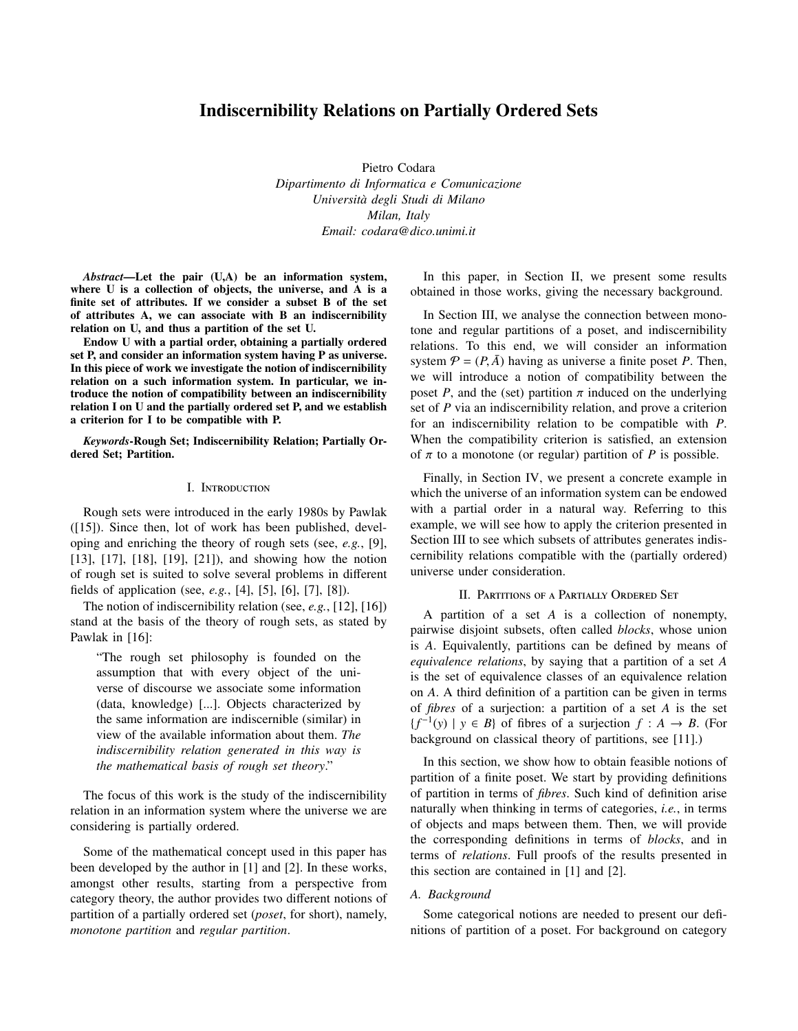# Indiscernibility Relations on Partially Ordered Sets

Pietro Codara *Dipartimento di Informatica e Comunicazione Universit `a degli Studi di Milano Milan, Italy Email: codara@dico.unimi.it*

*Abstract*—Let the pair (U,A) be an information system, where U is a collection of objects, the universe, and A is a finite set of attributes. If we consider a subset B of the set of attributes A, we can associate with B an indiscernibility relation on U, and thus a partition of the set U.

Endow U with a partial order, obtaining a partially ordered set P, and consider an information system having P as universe. In this piece of work we investigate the notion of indiscernibility relation on a such information system. In particular, we introduce the notion of compatibility between an indiscernibility relation I on U and the partially ordered set P, and we establish a criterion for I to be compatible with P.

*Keywords*-Rough Set; Indiscernibility Relation; Partially Ordered Set; Partition.

## I. INTRODUCTION

Rough sets were introduced in the early 1980s by Pawlak ([15]). Since then, lot of work has been published, developing and enriching the theory of rough sets (see, *e.g.*, [9], [13], [17], [18], [19], [21]), and showing how the notion of rough set is suited to solve several problems in different fields of application (see, *e.g.*, [4], [5], [6], [7], [8]).

The notion of indiscernibility relation (see, *e.g.*, [12], [16]) stand at the basis of the theory of rough sets, as stated by Pawlak in [16]:

"The rough set philosophy is founded on the assumption that with every object of the universe of discourse we associate some information (data, knowledge) [...]. Objects characterized by the same information are indiscernible (similar) in view of the available information about them. *The indiscernibility relation generated in this way is the mathematical basis of rough set theory*."

The focus of this work is the study of the indiscernibility relation in an information system where the universe we are considering is partially ordered.

Some of the mathematical concept used in this paper has been developed by the author in [1] and [2]. In these works, amongst other results, starting from a perspective from category theory, the author provides two different notions of partition of a partially ordered set (*poset*, for short), namely, *monotone partition* and *regular partition*.

In this paper, in Section II, we present some results obtained in those works, giving the necessary background.

In Section III, we analyse the connection between monotone and regular partitions of a poset, and indiscernibility relations. To this end, we will consider an information system  $P = (P, \overline{A})$  having as universe a finite poset P. Then, we will introduce a notion of compatibility between the poset *P*, and the (set) partition  $\pi$  induced on the underlying set of *P* via an indiscernibility relation, and prove a criterion for an indiscernibility relation to be compatible with *P*. When the compatibility criterion is satisfied, an extension of  $\pi$  to a monotone (or regular) partition of *P* is possible.

Finally, in Section IV, we present a concrete example in which the universe of an information system can be endowed with a partial order in a natural way. Referring to this example, we will see how to apply the criterion presented in Section III to see which subsets of attributes generates indiscernibility relations compatible with the (partially ordered) universe under consideration.

#### II. PARTITIONS OF A PARTIALLY ORDERED SET

A partition of a set *A* is a collection of nonempty, pairwise disjoint subsets, often called *blocks*, whose union is *A*. Equivalently, partitions can be defined by means of *equivalence relations*, by saying that a partition of a set *A* is the set of equivalence classes of an equivalence relation on *A*. A third definition of a partition can be given in terms of *fibres* of a surjection: a partition of a set *A* is the set  ${f^{-1}(y) \mid y \in B}$  of fibres of a surjection *f* : *A* → *B*. (For background on classical theory of partitions, see [11].)

In this section, we show how to obtain feasible notions of partition of a finite poset. We start by providing definitions of partition in terms of *fibres*. Such kind of definition arise naturally when thinking in terms of categories, *i.e.*, in terms of objects and maps between them. Then, we will provide the corresponding definitions in terms of *blocks*, and in terms of *relations*. Full proofs of the results presented in this section are contained in [1] and [2].

## *A. Background*

Some categorical notions are needed to present our definitions of partition of a poset. For background on category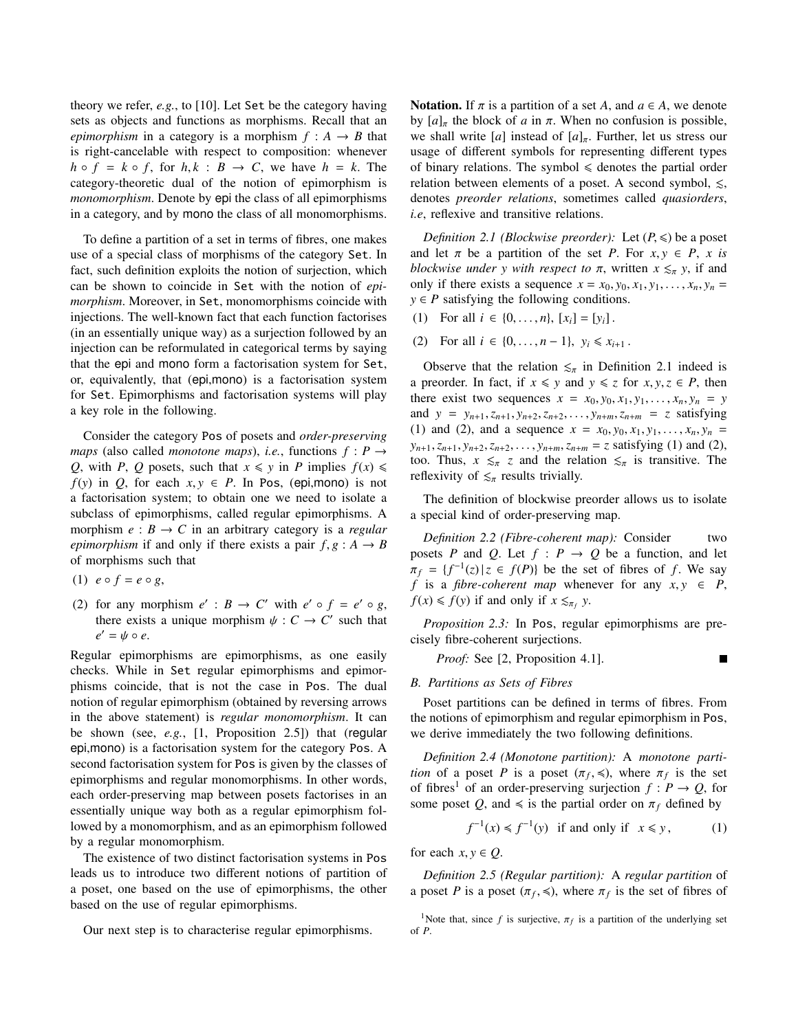theory we refer, *e.g.*, to [10]. Let Set be the category having sets as objects and functions as morphisms. Recall that an *epimorphism* in a category is a morphism  $f : A \rightarrow B$  that is right-cancelable with respect to composition: whenever  $h \circ f = k \circ f$ , for  $h, k : B \to C$ , we have  $h = k$ . The category-theoretic dual of the notion of epimorphism is *monomorphism*. Denote by epi the class of all epimorphisms in a category, and by mono the class of all monomorphisms.

To define a partition of a set in terms of fibres, one makes use of a special class of morphisms of the category Set. In fact, such definition exploits the notion of surjection, which can be shown to coincide in Set with the notion of *epimorphism*. Moreover, in Set, monomorphisms coincide with injections. The well-known fact that each function factorises (in an essentially unique way) as a surjection followed by an injection can be reformulated in categorical terms by saying that the epi and mono form a factorisation system for Set, or, equivalently, that (epi,mono) is a factorisation system for Set. Epimorphisms and factorisation systems will play a key role in the following.

Consider the category Pos of posets and *order-preserving maps* (also called *monotone maps*), *i.e.*, functions  $f: P \rightarrow$ *Q*, with *P*, *Q* posets, such that  $x \leq y$  in *P* implies  $f(x) \leq$  $f(y)$  in *Q*, for each  $x, y \in P$ . In Pos, (epi,mono) is not a factorisation system; to obtain one we need to isolate a subclass of epimorphisms, called regular epimorphisms. A morphism  $e : B \to C$  in an arbitrary category is a *regular epimorphism* if and only if there exists a pair  $f, g : A \rightarrow B$ of morphisms such that

(1)  $e \circ f = e \circ g$ ,

(2) for any morphism  $e' : B \to C'$  with  $e' \circ f = e' \circ g$ , there exists a unique morphism  $\psi : C \to C'$  such that  $e' = \psi \circ e.$ 

Regular epimorphisms are epimorphisms, as one easily checks. While in Set regular epimorphisms and epimorphisms coincide, that is not the case in Pos. The dual notion of regular epimorphism (obtained by reversing arrows in the above statement) is *regular monomorphism*. It can be shown (see, *e.g.*, [1, Proposition 2.5]) that (regular epi,mono) is a factorisation system for the category Pos. A second factorisation system for Pos is given by the classes of epimorphisms and regular monomorphisms. In other words, each order-preserving map between posets factorises in an essentially unique way both as a regular epimorphism followed by a monomorphism, and as an epimorphism followed by a regular monomorphism.

The existence of two distinct factorisation systems in Pos leads us to introduce two different notions of partition of a poset, one based on the use of epimorphisms, the other based on the use of regular epimorphisms.

Our next step is to characterise regular epimorphisms.

Notation. If  $\pi$  is a partition of a set *A*, and  $a \in A$ , we denote by  $[a]_{\pi}$  the block of *a* in  $\pi$ . When no confusion is possible, we shall write [*a*] instead of  $[a]_{\pi}$ . Further, let us stress our usage of different symbols for representing different types of binary relations. The symbol  $\leq$  denotes the partial order relation between elements of a poset. A second symbol,  $\leq$ , denotes *preorder relations*, sometimes called *quasiorders*, *i.e*, reflexive and transitive relations.

*Definition 2.1 (Blockwise preorder):* Let  $(P, \leq)$  be a poset and let  $\pi$  be a partition of the set *P*. For  $x, y \in P$ , *x* is *blockwise under y with respect to*  $\pi$ , written  $x \leq_{\pi} y$ , if and only if there exists a sequence  $x = x_0, y_0, x_1, y_1, \ldots, x_n, y_n =$  $y \in P$  satisfying the following conditions.

- (1) For all  $i \in \{0, ..., n\}$ ,  $[x_i] = [y_i]$ .
- (2) For all  $i \in \{0, \ldots, n-1\}$ ,  $y_i \le x_{i+1}$ .

Observe that the relation  $\leq_{\pi}$  in Definition 2.1 indeed is a preorder. In fact, if  $x \leq y$  and  $y \leq z$  for  $x, y, z \in P$ , then there exist two sequences  $x = x_0, y_0, x_1, y_1, \ldots, x_n, y_n = y$ and  $y = y_{n+1}, z_{n+1}, y_{n+2}, z_{n+2}, \ldots, y_{n+m}, z_{n+m} = z$  satisfying (1) and (2), and a sequence  $x = x_0, y_0, x_1, y_1, \ldots, x_n, y_n =$  $y_{n+1}, z_{n+1}, y_{n+2}, z_{n+2}, \ldots, y_{n+m}, z_{n+m} = z$  satisfying (1) and (2), too. Thus,  $x \leq \pi z$  and the relation  $\leq \pi$  is transitive. The reflexivity of  $\leq_{\pi}$  results trivially.

The definition of blockwise preorder allows us to isolate a special kind of order-preserving map.

*Definition 2.2 (Fibre-coherent map):* Consider two posets *P* and *Q*. Let  $f : P \rightarrow Q$  be a function, and let  $\pi_f = \{f^{-1}(z) | z \in f(P) \}$  be the set of fibres of *f*. We say  $f$  is a fibre-coherent man whenever for any  $x, y \in P$ *f* is a *fibre-coherent map* whenever for any  $x, y \in P$ ,  $f(x) \leq f(y)$  if and only if  $x \leq_{\pi_f} y$ .

*Proposition 2.3:* In Pos, regular epimorphisms are precisely fibre-coherent surjections.

*Proof:* See [2, Proposition 4.1].  $\blacksquare$ 

#### *B. Partitions as Sets of Fibres*

Poset partitions can be defined in terms of fibres. From the notions of epimorphism and regular epimorphism in Pos, we derive immediately the two following definitions.

*Definition 2.4 (Monotone partition):* A *monotone partition* of a poset *P* is a poset  $(\pi_f, \preccurlyeq)$ , where  $\pi_f$  is the set of fibres<sup>1</sup> of an order preserving surjection  $f : P \to O$  for of fibres<sup>1</sup> of an order-preserving surjection  $f : P \to Q$ , for some poset *Q*, and  $\le$  is the partial order on  $\pi_f$  defined by

$$
f^{-1}(x) \le f^{-1}(y) \quad \text{if and only if} \quad x \le y, \tag{1}
$$

for each  $x, y \in Q$ .

*Definition 2.5 (Regular partition):* A *regular partition* of a poset *P* is a poset  $(\pi_f, \leq),$  where  $\pi_f$  is the set of fibres of

<sup>&</sup>lt;sup>1</sup>Note that, since *f* is surjective,  $\pi_f$  is a partition of the underlying set of *P*.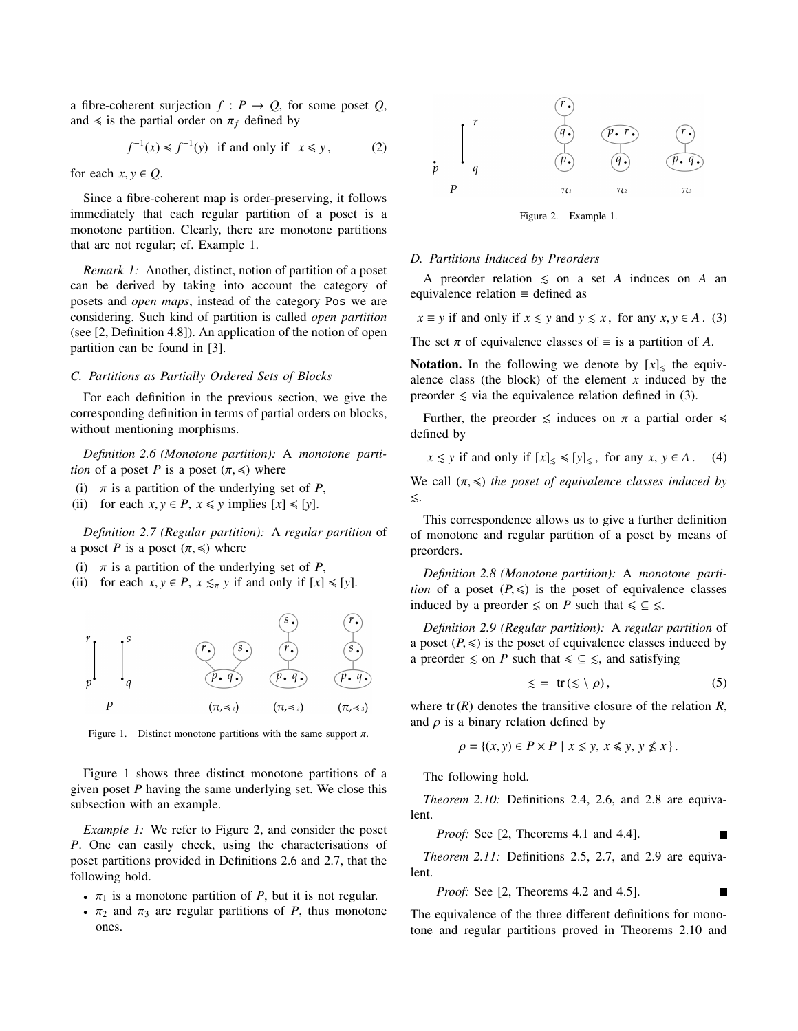a fibre-coherent surjection  $f : P \to Q$ , for some poset  $Q$ , and  $\le$  is the partial order on  $\pi_f$  defined by

$$
f^{-1}(x) \le f^{-1}(y) \text{ if and only if } x \le y, \qquad (2)
$$

for each  $x, y \in Q$ .

Since a fibre-coherent map is order-preserving, it follows immediately that each regular partition of a poset is a monotone partition. Clearly, there are monotone partitions that are not regular; cf. Example 1.

*Remark 1:* Another, distinct, notion of partition of a poset can be derived by taking into account the category of posets and *open maps*, instead of the category Pos we are considering. Such kind of partition is called *open partition* (see [2, Definition 4.8]). An application of the notion of open partition can be found in [3].

#### *C. Partitions as Partially Ordered Sets of Blocks*

For each definition in the previous section, we give the corresponding definition in terms of partial orders on blocks, without mentioning morphisms.

*Definition 2.6 (Monotone partition):* A *monotone partition* of a poset *P* is a poset  $(\pi, \leq)$  where

- (i)  $\pi$  is a partition of the underlying set of *P*,
- (ii) for each  $x, y \in P$ ,  $x \leq y$  implies  $[x] \leq [y]$ .

*Definition 2.7 (Regular partition):* A *regular partition* of a poset *P* is a poset  $(\pi, \leq)$  where

- (i)  $\pi$  is a partition of the underlying set of *P*,
- (ii) for each  $x, y \in P$ ,  $x \leq_{\pi} y$  if and only if  $[x] \leq [y]$ .



Figure 1. Distinct monotone partitions with the same support  $\pi$ .

Figure 1 shows three distinct monotone partitions of a given poset *P* having the same underlying set. We close this subsection with an example.

*Example 1:* We refer to Figure 2, and consider the poset *P*. One can easily check, using the characterisations of poset partitions provided in Definitions 2.6 and 2.7, that the following hold.

- $\pi_1$  is a monotone partition of *P*, but it is not regular.
- $\pi_2$  and  $\pi_3$  are regular partitions of *P*, thus monotone ones.



Figure 2. Example 1.

## *D. Partitions Induced by Preorders*

A preorder relation  $\leq$  on a set *A* induces on *A* an equivalence relation ≡ defined as

*x*  $\equiv$  *y* if and only if *x*  $\le$  *y* and *y*  $\le$  *x*, for any *x*, *y*  $\in$  *A* . (3)

The set  $\pi$  of equivalence classes of  $\equiv$  is a partition of *A*.

**Notation.** In the following we denote by  $[x]_1$  the equivalence class (the block) of the element  $x$  induced by the preorder  $\leq$  via the equivalence relation defined in (3).

Further, the preorder  $\leq$  induces on  $\pi$  a partial order  $\leq$ defined by

$$
x \lesssim y
$$
 if and only if  $[x]_{\leq} \leq [y]_{\leq}$ , for any  $x, y \in A$ . (4)

We call  $(\pi, \leq)$  *the poset of equivalence classes induced by*  $\lesssim$ .

This correspondence allows us to give a further definition of monotone and regular partition of a poset by means of preorders.

*Definition 2.8 (Monotone partition):* A *monotone partition* of a poset  $(P, \leq)$  is the poset of equivalence classes induced by a preorder  $\leq$  on *P* such that  $\leq \leq \leq$ .

*Definition 2.9 (Regular partition):* A *regular partition* of a poset  $(P, \leq)$  is the poset of equivalence classes induced by a preorder  $\leq$  on *P* such that  $\leq \leq \leq$ , and satisfying

$$
\leqslant = \text{tr}(\leqslant \setminus \rho), \tag{5}
$$

 $\blacksquare$ 

where  $tr(R)$  denotes the transitive closure of the relation  $R$ , and  $\rho$  is a binary relation defined by

$$
\rho = \{(x, y) \in P \times P \mid x \leq y, x \leq y, y \nleq x\}.
$$

The following hold.

*Theorem 2.10:* Definitions 2.4, 2.6, and 2.8 are equivalent.

*Proof:* See [2, Theorems 4.1 and 4.4].

*Theorem 2.11:* Definitions 2.5, 2.7, and 2.9 are equivalent.

*Proof:* See [2, Theorems 4.2 and 4.5].

The equivalence of the three different definitions for monotone and regular partitions proved in Theorems 2.10 and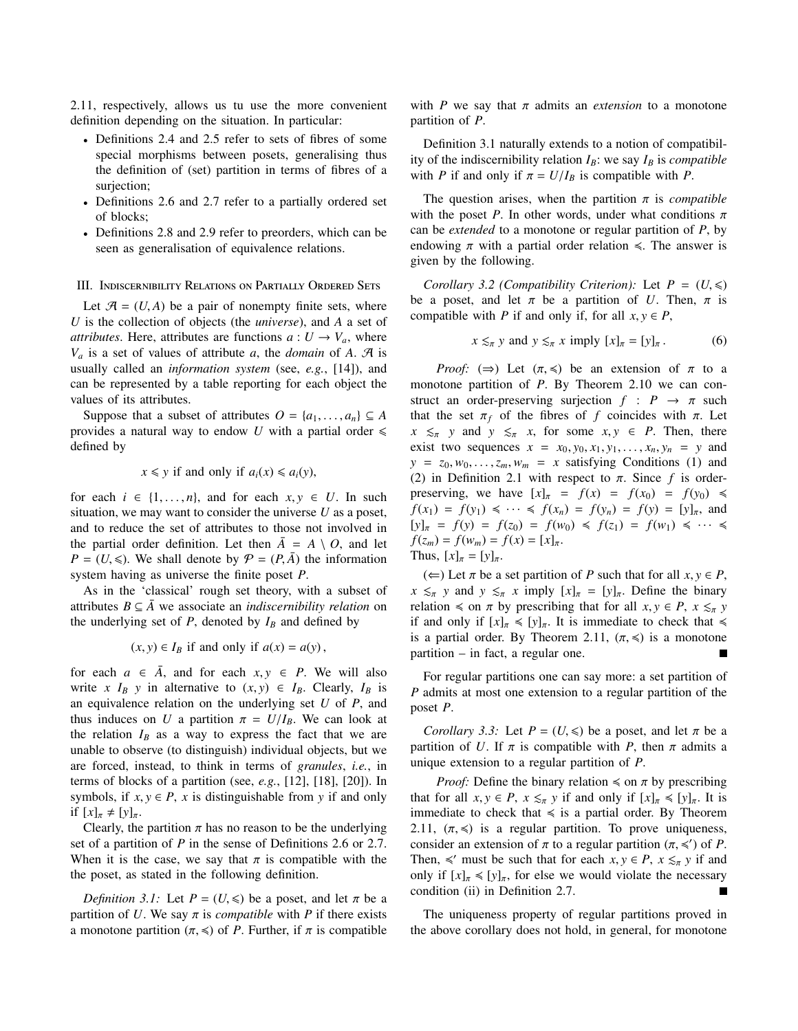2.11, respectively, allows us tu use the more convenient definition depending on the situation. In particular:

- Definitions 2.4 and 2.5 refer to sets of fibres of some special morphisms between posets, generalising thus the definition of (set) partition in terms of fibres of a surjection;
- Definitions 2.6 and 2.7 refer to a partially ordered set of blocks;
- Definitions 2.8 and 2.9 refer to preorders, which can be seen as generalisation of equivalence relations.

#### III. INDISCERNIBILITY RELATIONS ON PARTIALLY ORDERED SETS

Let  $\mathcal{A} = (U, A)$  be a pair of nonempty finite sets, where *U* is the collection of objects (the *universe*), and *A* a set of *attributes*. Here, attributes are functions  $a: U \rightarrow V_a$ , where  $V_a$  is a set of values of attribute *a*, the *domain* of *A*. A is usually called an *information system* (see, *e.g.*, [14]), and can be represented by a table reporting for each object the values of its attributes.

Suppose that a subset of attributes  $O = \{a_1, \ldots, a_n\} \subseteq A$ provides a natural way to endow U with a partial order  $\leq$ defined by

# $x \leq y$  if and only if  $a_i(x) \leq a_i(y)$ ,

for each  $i \in \{1, \ldots, n\}$ , and for each  $x, y \in U$ . In such situation, we may want to consider the universe *U* as a poset, and to reduce the set of attributes to those not involved in the partial order definition. Let then  $\overline{A} = A \setminus O$ , and let  $P = (U, \leqslant)$ . We shall denote by  $P = (P, \overline{A})$  the information system having as universe the finite poset *P*.

As in the 'classical' rough set theory, with a subset of attributes  $B \subseteq \overline{A}$  we associate an *indiscernibility relation* on the underlying set of  $P$ , denoted by  $I_B$  and defined by

$$
(x, y) \in I_B
$$
 if and only if  $a(x) = a(y)$ ,

for each  $a \in \overline{A}$ , and for each  $x, y \in P$ . We will also write *x*  $I_B$  *y* in alternative to  $(x, y) \in I_B$ . Clearly,  $I_B$  is an equivalence relation on the underlying set *U* of *P*, and thus induces on *U* a partition  $\pi = U/I_B$ . We can look at the relation  $I_B$  as a way to express the fact that we are unable to observe (to distinguish) individual objects, but we are forced, instead, to think in terms of *granules*, *i.e.*, in terms of blocks of a partition (see, *e.g.*, [12], [18], [20]). In symbols, if  $x, y \in P$ ,  $x$  is distinguishable from  $y$  if and only if  $[x]_\pi \neq [y]_\pi$ .

Clearly, the partition  $\pi$  has no reason to be the underlying set of a partition of *P* in the sense of Definitions 2.6 or 2.7. When it is the case, we say that  $\pi$  is compatible with the the poset, as stated in the following definition.

*Definition 3.1:* Let  $P = (U, \leq)$  be a poset, and let  $\pi$  be a partition of *U*. We say  $\pi$  is *compatible* with *P* if there exists a monotone partition  $(\pi, \leq)$  of *P*. Further, if  $\pi$  is compatible with *P* we say that  $\pi$  admits an *extension* to a monotone partition of *P*.

Definition 3.1 naturally extends to a notion of compatibility of the indiscernibility relation  $I_B$ : we say  $I_B$  is *compatible* with *P* if and only if  $\pi = U/I_B$  is compatible with *P*.

The question arises, when the partition  $\pi$  is *compatible* with the poset *P*. In other words, under what conditions  $\pi$ can be *extended* to a monotone or regular partition of *P*, by endowing  $\pi$  with a partial order relation  $\leq$ . The answer is given by the following.

*Corollary 3.2 (Compatibility Criterion):* Let  $P = (U, \leq)$ be a poset, and let  $\pi$  be a partition of *U*. Then,  $\pi$  is compatible with *P* if and only if, for all  $x, y \in P$ ,

$$
x \lesssim_{\pi} y \text{ and } y \lesssim_{\pi} x \text{ imply } [x]_{\pi} = [y]_{\pi}.
$$
 (6)

*Proof:*  $(\Rightarrow)$  Let  $(\pi, \le)$  be an extension of  $\pi$  to a monotone partition of *P*. By Theorem 2.10 we can construct an order-preserving surjection  $f : P \rightarrow \pi$  such that the set  $\pi_f$  of the fibres of *f* coincides with  $\pi$ . Let  $x \leq_{\pi} y$  and  $y \leq_{\pi} x$ , for some  $x, y \in P$ . Then, there exist two sequences  $x = x_0, y_0, x_1, y_1, \ldots, x_n, y_n = y$  and  $y = z_0, w_0, \ldots, z_m, w_m = x$  satisfying Conditions (1) and (2) in Definition 2.1 with respect to  $\pi$ . Since  $f$  is orderpreserving, we have  $[x]_{\pi} = f(x) = f(x_0) = f(y_0) \le$  $f(x_1) = f(y_1) \leq \cdots \leq f(x_n) = f(y_n) = f(y) = [y]_{\pi}$ , and  $[y]_{\pi} = f(y) = f(z_0) = f(w_0) \leq f(z_1) = f(w_1) \leq \cdots \leq f(z_n)$  $f(z_m) = f(w_m) = f(x) = [x]_\pi.$ Thus,  $[x]_{\pi} = [y]_{\pi}$ .

(←) Let *π* be a set partition of *P* such that for all *x*, *y* ∈ *P*,  $x \leq_{\pi} y$  and  $y \leq_{\pi} x$  imply  $[x]_{\pi} = [y]_{\pi}$ . Define the binary relation  $\leq$  on  $\pi$  by prescribing that for all  $x, y \in P$ ,  $x \leq_{\pi} y$ if and only if  $[x]_{\pi} \leq [y]_{\pi}$ . It is immediate to check that  $\leq$ is a partial order. By Theorem 2.11,  $(\pi, \leq)$  is a monotone partition – in fact, a regular one.

For regular partitions one can say more: a set partition of *P* admits at most one extension to a regular partition of the poset *P*.

*Corollary 3.3:* Let  $P = (U, \leq)$  be a poset, and let  $\pi$  be a partition of *U*. If  $\pi$  is compatible with *P*, then  $\pi$  admits a unique extension to a regular partition of *P*.

*Proof:* Define the binary relation  $\leq$  on  $\pi$  by prescribing that for all  $x, y \in P$ ,  $x \leq_{\pi} y$  if and only if  $[x]_{\pi} \leq [y]_{\pi}$ . It is immediate to check that  $\leq$  is a partial order. By Theorem 2.11,  $(\pi, \leq)$  is a regular partition. To prove uniqueness, consider an extension of  $\pi$  to a regular partition  $(\pi, \leq')$  of *P*.<br>Then  $\leq'$  must be such that for each  $x, y \in P$ ,  $x \leq y$  if and Then,  $\leq$  must be such that for each *x*,  $y \in P$ ,  $x \leq_{\pi} y$  if and only if  $[x] \leq [y]$  for else we would violate the necessary only if  $[x]_{\pi} \le [y]_{\pi}$ , for else we would violate the necessary condition (ii) in Definition 2.7. condition (ii) in Definition 2.7.

The uniqueness property of regular partitions proved in the above corollary does not hold, in general, for monotone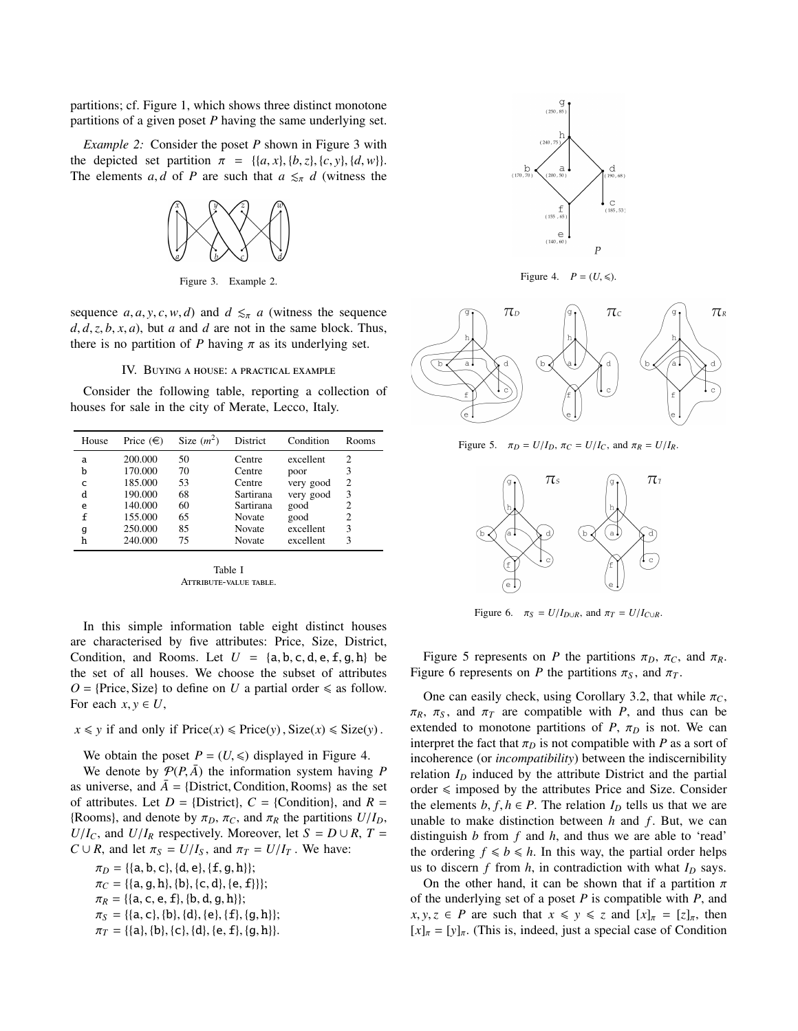partitions; cf. Figure 1, which shows three distinct monotone partitions of a given poset *P* having the same underlying set.

*Example 2:* Consider the poset *P* shown in Figure 3 with the depicted set partition  $\pi = \{ \{a, x\}, \{b, z\}, \{c, y\}, \{d, w\} \}.$ The elements *a*, *d* of *P* are such that  $a \leq_{\pi} d$  (witness the



Figure 3. Example 2.

sequence  $a, a, y, c, w, d$  and  $d \leq_{\pi} a$  (witness the sequence  $d$ ,  $d$ ,  $z$ ,  $b$ ,  $x$ ,  $a$ ), but  $a$  and  $d$  are not in the same block. Thus, there is no partition of *P* having  $\pi$  as its underlying set.

#### IV. BUYING A HOUSE: A PRACTICAL EXAMPLE

Consider the following table, reporting a collection of houses for sale in the city of Merate, Lecco, Italy.

| House | Price $(\in)$ | Size $(m^2)$ | District  | Condition | Rooms                       |
|-------|---------------|--------------|-----------|-----------|-----------------------------|
| a     | 200.000       | 50           | Centre    | excellent | 2                           |
| b     | 170.000       | 70           | Centre    | poor      | 3                           |
| C     | 185.000       | 53           | Centre    | very good | 2                           |
| d     | 190.000       | 68           | Sartirana | very good | 3                           |
| e     | 140.000       | 60           | Sartirana | good      |                             |
| f     | 155.000       | 65           | Novate    | good      | $\mathcal{D}_{\mathcal{L}}$ |
| g     | 250.000       | 85           | Novate    | excellent | 3                           |
| h     | 240.000       | 75           | Novate    | excellent | ٩                           |

Table I ATTRIBUTE-VALUE TABLE.

In this simple information table eight distinct houses are characterised by five attributes: Price, Size, District, Condition, and Rooms. Let  $U = \{a, b, c, d, e, f, g, h\}$  be the set of all houses. We choose the subset of attributes  $O =$ {Price, Size} to define on *U* a partial order  $\le$  as follow. For each  $x, y \in U$ ,

## $x \leq y$  if and only if  $\text{Price}(x) \leq \text{Price}(y)$ ,  $\text{Size}(x) \leq \text{Size}(y)$ .

We obtain the poset  $P = (U, \leq)$  displayed in Figure 4.

We denote by  $P(P, \overline{A})$  the information system having *P* as universe, and  $\bar{A} = \{District, Condition, Rooms\}$  as the set of attributes. Let  $D = \{D \text{istrict}\}\,$ ,  $C = \{Condition\}$ , and  $R =$ {Rooms}, and denote by  $\pi_D$ ,  $\pi_C$ , and  $\pi_R$  the partitions  $U/I_D$ , *U*/*I<sub>C</sub>*, and *U*/*I<sub>R</sub>* respectively. Moreover, let *S* = *D* ∪ *R*, *T* = *C* ∪ *R*, and let  $\pi_S = U/I_S$ , and  $\pi_T = U/I_T$ . We have:

 $\pi_D = \{ \{a, b, c\}, \{d, e\}, \{f, g, h\} \};$  $\pi_C = \{\{a, g, h\}, \{b\}, \{c, d\}, \{e, f\}\}\};$  $\pi_R = \{\{a, c, e, f\}, \{b, d, g, h\}\};$  $\pi_S = \{\{a, c\}, \{b\}, \{d\}, \{e\}, \{f\}, \{g, h\}\};$  $\pi_T = \{\{a\}, \{b\}, \{c\}, \{d\}, \{e, f\}, \{g, h\}\}.$ 



Figure 4.  $P = (U, \leqslant)$ .



Figure 5.  $\pi_D = U/I_D$ ,  $\pi_C = U/I_C$ , and  $\pi_R = U/I_R$ .



Figure 6.  $\pi_S = U/I_{D\cup R}$ , and  $\pi_T = U/I_{C\cup R}$ .

Figure 5 represents on *P* the partitions  $\pi_D$ ,  $\pi_C$ , and  $\pi_R$ . Figure 6 represents on *P* the partitions  $\pi_S$ , and  $\pi_T$ .

One can easily check, using Corollary 3.2, that while  $\pi_C$ ,  $\pi_R$ ,  $\pi_S$ , and  $\pi_T$  are compatible with *P*, and thus can be extended to monotone partitions of *P*,  $\pi_D$  is not. We can interpret the fact that  $\pi_D$  is not compatible with *P* as a sort of incoherence (or *incompatibility*) between the indiscernibility relation  $I_D$  induced by the attribute District and the partial order  $\leq$  imposed by the attributes Price and Size. Consider the elements  $b, f, h \in P$ . The relation  $I_D$  tells us that we are unable to make distinction between *h* and *f*. But, we can distinguish *b* from *f* and *h*, and thus we are able to 'read' the ordering  $f \le b \le h$ . In this way, the partial order helps us to discern  $f$  from  $h$ , in contradiction with what  $I_D$  says.

On the other hand, it can be shown that if a partition  $\pi$ of the underlying set of a poset *P* is compatible with *P*, and  $x, y, z \in P$  are such that  $x \leq y \leq z$  and  $[x]_{\pi} = [z]_{\pi}$ , then  $[x]_{\pi} = [y]_{\pi}$ . (This is, indeed, just a special case of Condition